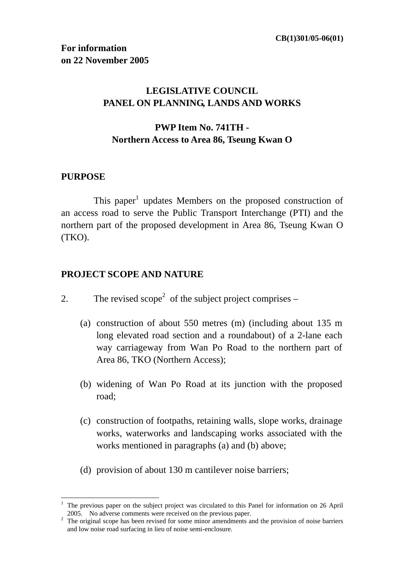## **LEGISLATIVE COUNCIL PANEL ON PLANNING, LANDS AND WORKS**

## **PWP Item No. 741TH - Northern Access to Area 86, Tseung Kwan O**

#### **PURPOSE**

 $\overline{a}$ 

This paper<sup>1</sup> updates Members on the proposed construction of an access road to serve the Public Transport Interchange (PTI) and the northern part of the proposed development in Area 86, Tseung Kwan O (TKO).

#### **PROJECT SCOPE AND NATURE**

- 2. The revised scope<sup>2</sup> of the subject project comprises
	- (a) construction of about 550 metres (m) (including about 135 m long elevated road section and a roundabout) of a 2-lane each way carriageway from Wan Po Road to the northern part of Area 86, TKO (Northern Access);
	- (b) widening of Wan Po Road at its junction with the proposed road;
	- (c) construction of footpaths, retaining walls, slope works, drainage works, waterworks and landscaping works associated with the works mentioned in paragraphs (a) and (b) above;
	- (d) provision of about 130 m cantilever noise barriers;

<sup>&</sup>lt;sup>1</sup> The previous paper on the subject project was circulated to this Panel for information on 26 April 2005. No adverse comments were received on the previous paper. 2

<sup>&</sup>lt;sup>2</sup> The original scope has been revised for some minor amendments and the provision of noise barriers and low noise road surfacing in lieu of noise semi-enclosure.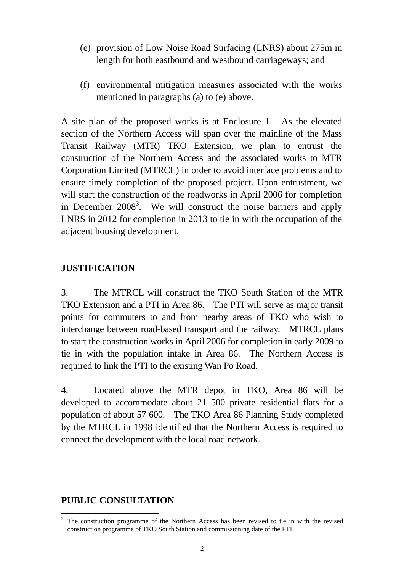- (e) provision of Low Noise Road Surfacing (LNRS) about 275m in length for both eastbound and westbound carriageways; and
- (f) environmental mitigation measures associated with the works mentioned in paragraphs (a) to (e) above.

A site plan of the proposed works is at Enclosure 1. As the elevated section of the Northern Access will span over the mainline of the Mass Transit Railway (MTR) TKO Extension, we plan to entrust the construction of the Northern Access and the associated works to MTR Corporation Limited (MTRCL) in order to avoid interface problems and to ensure timely completion of the proposed project. Upon entrustment, we will start the construction of the roadworks in April 2006 for completion in December  $2008<sup>3</sup>$ . We will construct the noise barriers and apply LNRS in 2012 for completion in 2013 to tie in with the occupation of the adjacent housing development.

#### **JUSTIFICATION**

3. The MTRCL will construct the TKO South Station of the MTR TKO Extension and a PTI in Area 86. The PTI will serve as major transit points for commuters to and from nearby areas of TKO who wish to interchange between road-based transport and the railway. MTRCL plans to start the construction works in April 2006 for completion in early 2009 to tie in with the population intake in Area 86. The Northern Access is required to link the PTI to the existing Wan Po Road.

4. Located above the MTR depot in TKO, Area 86 will be developed to accommodate about 21 500 private residential flats for a population of about 57 600. The TKO Area 86 Planning Study completed by the MTRCL in 1998 identified that the Northern Access is required to connect the development with the local road network.

#### **PUBLIC CONSULTATION**

 $\overline{a}$ 

<sup>3</sup> The construction programme of the Northern Access has been revised to tie in with the revised construction programme of TKO South Station and commissioning date of the PTI.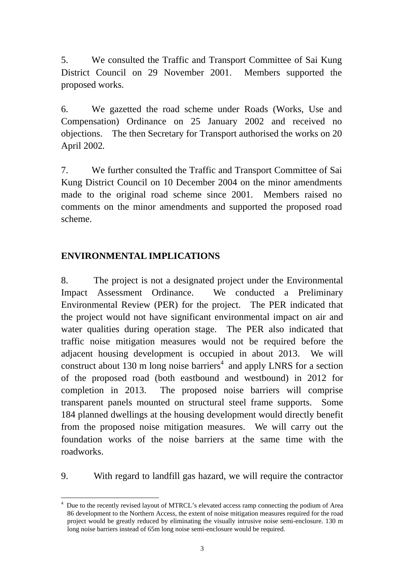5. We consulted the Traffic and Transport Committee of Sai Kung District Council on 29 November 2001. Members supported the proposed works.

6. We gazetted the road scheme under Roads (Works, Use and Compensation) Ordinance on 25 January 2002 and received no objections. The then Secretary for Transport authorised the works on 20 April 2002*.*

7. We further consulted the Traffic and Transport Committee of Sai Kung District Council on 10 December 2004 on the minor amendments made to the original road scheme since 2001. Members raised no comments on the minor amendments and supported the proposed road scheme.

#### **ENVIRONMENTAL IMPLICATIONS**

 $\overline{a}$ 

8. The project is not a designated project under the Environmental Impact Assessment Ordinance. We conducted a Preliminary Environmental Review (PER) for the project. The PER indicated that the project would not have significant environmental impact on air and water qualities during operation stage. The PER also indicated that traffic noise mitigation measures would not be required before the adjacent housing development is occupied in about 2013. We will construct about 130 m long noise barriers<sup>4</sup> and apply LNRS for a section of the proposed road (both eastbound and westbound) in 2012 for completion in 2013. The proposed noise barriers will comprise transparent panels mounted on structural steel frame supports. Some 184 planned dwellings at the housing development would directly benefit from the proposed noise mitigation measures. We will carry out the foundation works of the noise barriers at the same time with the roadworks.

9. With regard to landfill gas hazard, we will require the contractor

<sup>&</sup>lt;sup>4</sup> Due to the recently revised layout of MTRCL's elevated access ramp connecting the podium of Area 86 development to the Northern Access, the extent of noise mitigation measures required for the road project would be greatly reduced by eliminating the visually intrusive noise semi-enclosure. 130 m long noise barriers instead of 65m long noise semi-enclosure would be required.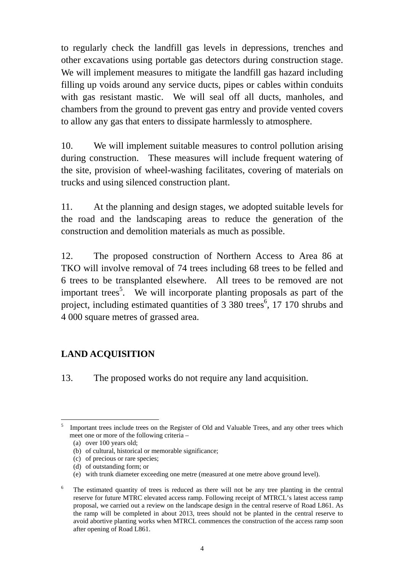to regularly check the landfill gas levels in depressions, trenches and other excavations using portable gas detectors during construction stage. We will implement measures to mitigate the landfill gas hazard including filling up voids around any service ducts, pipes or cables within conduits with gas resistant mastic. We will seal off all ducts, manholes, and chambers from the ground to prevent gas entry and provide vented covers to allow any gas that enters to dissipate harmlessly to atmosphere.

10. We will implement suitable measures to control pollution arising during construction. These measures will include frequent watering of the site, provision of wheel-washing facilitates, covering of materials on trucks and using silenced construction plant.

11. At the planning and design stages, we adopted suitable levels for the road and the landscaping areas to reduce the generation of the construction and demolition materials as much as possible.

12. The proposed construction of Northern Access to Area 86 at TKO will involve removal of 74 trees including 68 trees to be felled and 6 trees to be transplanted elsewhere. All trees to be removed are not important trees<sup>5</sup>. We will incorporate planting proposals as part of the project, including estimated quantities of 3 380 trees<sup>6</sup>, 17 170 shrubs and 4 000 square metres of grassed area.

# **LAND ACQUISITION**

13. The proposed works do not require any land acquisition.

 $\overline{a}$ 5 Important trees include trees on the Register of Old and Valuable Trees, and any other trees which meet one or more of the following criteria –

<sup>(</sup>a) over 100 years old;

<sup>(</sup>b) of cultural, historical or memorable significance;

<sup>(</sup>c) of precious or rare species;

<sup>(</sup>d) of outstanding form; or

<sup>(</sup>e) with trunk diameter exceeding one metre (measured at one metre above ground level).

<sup>6</sup> The estimated quantity of trees is reduced as there will not be any tree planting in the central reserve for future MTRC elevated access ramp. Following receipt of MTRCL's latest access ramp proposal, we carried out a review on the landscape design in the central reserve of Road L861. As the ramp will be completed in about 2013, trees should not be planted in the central reserve to avoid abortive planting works when MTRCL commences the construction of the access ramp soon after opening of Road L861.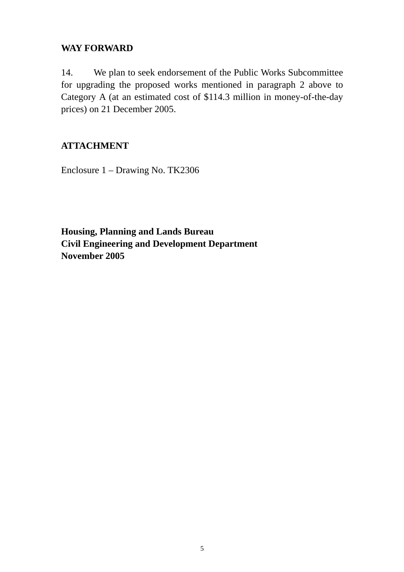#### **WAY FORWARD**

14. We plan to seek endorsement of the Public Works Subcommittee for upgrading the proposed works mentioned in paragraph 2 above to Category A (at an estimated cost of \$114.3 million in money-of-the-day prices) on 21 December 2005.

## **ATTACHMENT**

Enclosure 1 – Drawing No. TK2306

**Housing, Planning and Lands Bureau Civil Engineering and Development Department November 2005**